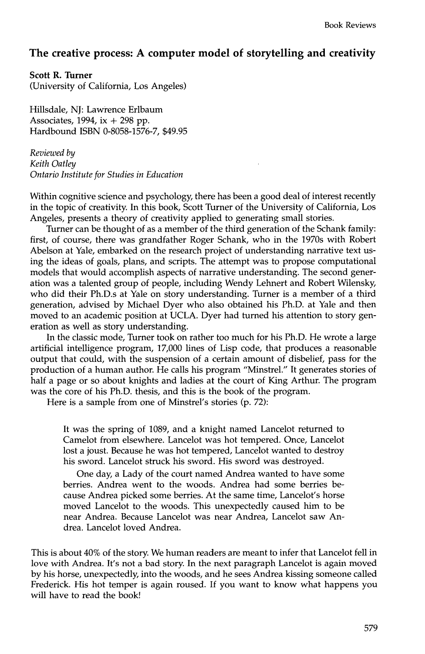## **The creative process: A computer model of storytelling and creativity**

**Scott R. Turner** 

(University of California, Los Angeles)

Hillsdale, NJ: Lawrence Erlbaum Associates, 1994,  $ix + 298$  pp. Hardbound ISBN 0-8058-1576-7, \$49.95

*Reviewed by Keith Oatley Ontario Institute for Studies in Education* 

Within cognitive science and psychology, there has been a good deal of interest recently in the topic of creativity. In this book, Scott Turner of the University of California, Los Angeles, presents a theory of creativity applied to generating small stories.

Turner can be thought of as a member of the third generation of the Schank family: first, of course, there was grandfather Roger Schank, who in the 1970s with Robert Abelson at Yale, embarked on the research project of understanding narrative text using the ideas of goals, plans, and scripts. The attempt was to propose computational models that would accomplish aspects of narrative understanding. The second generation was a talented group of people, including Wendy Lehnert and Robert Wilensky, who did their Ph.D.s at Yale on story understanding. Turner is a member of a third generation, advised by Michael Dyer who also obtained his Ph.D. at Yale and then moved to an academic position at UCLA. Dyer had turned his attention to story generation as well as story understanding.

In the classic mode, Turner took on rather too much for his Ph.D. He wrote a large artificial intelligence program, 17,000 lines of Lisp code, that produces a reasonable output that could, with the suspension of a certain amount of disbelief, pass for the production of a human author. He calls his program "Minstrel." It generates stories of half a page or so about knights and ladies at the court of King Arthur. The program was the core of his Ph.D. thesis, and this is the book of the program.

Here is a sample from one of Minstrel's stories (p. 72):

It was the spring of 1089, and a knight named Lancelot returned to Camelot from elsewhere. Lancelot was hot tempered. Once, Lancelot lost a joust. Because he was hot tempered, Lancelot wanted to destroy his sword. Lancelot struck his sword. His sword was destroyed.

One day, a Lady of the court named Andrea wanted to have some berries. Andrea went to the woods. Andrea had some berries because Andrea picked some berries. At the same time, Lancelot's horse moved Lancelot to the woods. This unexpectedly caused him to be near Andrea. Because Lancelot was near Andrea, Lancelot saw Andrea. Lancelot loved Andrea.

This is about 40% of the story. We human readers are meant to infer that Lancelot fell in love with Andrea. It's not a bad story. In the next paragraph Lancelot is again moved by his horse, unexpectedly, into the woods, and he sees Andrea kissing someone called Frederick. His hot temper is again roused. If you want to know what happens you will have to read the book!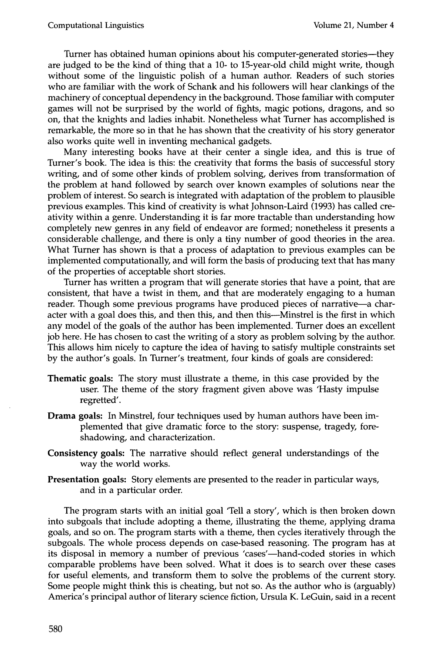Turner has obtained human opinions about his computer-generated stories--they are judged to be the kind of thing that a 10- to 15-year-old child might write, though without some of the linguistic polish of a human author. Readers of such stories who are familiar with the work of Schank and his followers will hear clankings of the machinery of conceptual dependency in the background. Those familiar with computer games will not be surprised by the world of fights, magic potions, dragons, and so on, that the knights and ladies inhabit. Nonetheless what Turner has accomplished is remarkable, the more so in that he has shown that the creativity of his story generator also works quite well in inventing mechanical gadgets.

Many interesting books have at their center a single idea, and this is true of Turner's book. The idea is this: the creativity that forms the basis of successful story writing, and of some other kinds of problem solving, derives from transformation of the problem at hand followed by search over known examples of solutions near the problem of interest. So search is integrated with adaptation of the problem to plausible previous examples. This kind of creativity is what Johnson-Laird (1993) has called creativity within a genre. Understanding it is far more tractable than understanding how completely new genres in any field of endeavor are formed; nonetheless it presents a considerable challenge, and there is only a tiny number of good theories in the area. What Turner has shown is that a process of adaptation to previous examples can be implemented computationally, and will form the basis of producing text that has many of the properties of acceptable short stories.

Turner has written a program that will generate stories that have a point, that are consistent, that have a twist in them, and that are moderately engaging to a human reader. Though some previous programs have produced pieces of narrative—a character with a goal does this, and then this, and then this--Minstrel is the first in which any model of the goals of the author has been implemented. Turner does an excellent job here. He has chosen to cast the writing of a story as problem solving by the author. This allows him nicely to capture the idea of having to satisfy multiple constraints set by the author's goals. In Turner's treatment, four kinds of goals are considered:

- Thematic goals: The story must illustrate a theme, in this case provided by the user. The theme of the story fragment given above was 'Hasty impulse regretted'.
- Drama goals: In Minstrel, four techniques used by human authors have been implemented that give dramatic force to the story: suspense, tragedy, foreshadowing, and characterization.
- Consistency goals: The narrative should reflect general understandings of the way the world works.
- Presentation goals: Story elements are presented to the reader in particular ways, and in a particular order.

The program starts with an initial goal 'Tell a story', which is then broken down into subgoals that include adopting a theme, illustrating the theme, applying drama goals, and so on. The program starts with a theme, then cycles iteratively through the subgoals. The whole process depends on case-based reasoning. The program has at its disposal in memory a number of previous 'cases'—hand-coded stories in which comparable problems have been solved. What it does is to search over these cases for useful elements, and transform them to solve the problems of the current story. Some people might think this is cheating, but not so. As the author who is (arguably) America's principal author of literary science fiction, Ursula K. LeGuin, said in a recent